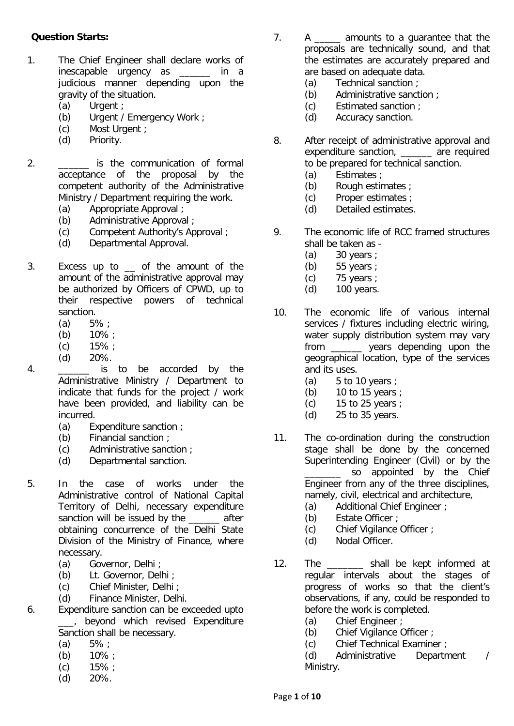## **Question Starts:**

- 1. The Chief Engineer shall declare works of inescapable urgency as \_\_\_\_\_\_ in a judicious manner depending upon the gravity of the situation.
	- (a) Urgent ;
	- (b) Urgent / Emergency Work ;<br>(c) Most Urgent :
	- Most Urgent :
	- (d) Priority.
- 2. \_\_\_\_\_\_ is the communication of formal acceptance of the proposal by the competent authority of the Administrative Ministry / Department requiring the work.
	- (a) Appropriate Approval ;
	- (b) Administrative Approval ;
	- (c) Competent Authority's Approval ;
	- (d) Departmental Approval.
- 3. Excess up to \_\_ of the amount of the amount of the administrative approval may be authorized by Officers of CPWD, up to their respective powers of technical sanction.
	- (a)  $5\%$ ;
	- (b)  $10\%$ ;
	- $(c)$  15% :
	- (d) 20%.
- 4. **Example 15** is to be accorded by the Administrative Ministry / Department to indicate that funds for the project / work have been provided, and liability can be incurred.
	- (a) Expenditure sanction ;
	- (b) Financial sanction ;<br>(c)  $\overline{A}$  Administrative sanc
	- Administrative sanction :
	- (d) Departmental sanction.
- 5. In the case of works under the Administrative control of National Capital Territory of Delhi, necessary expenditure sanction will be issued by the \_\_\_\_\_\_ after obtaining concurrence of the Delhi State Division of the Ministry of Finance, where necessary.
	- (a) Governor, Delhi ;
	- (b) Lt. Governor, Delhi ;
	- (c) Chief Minister, Delhi ;
	- (d) Finance Minister, Delhi.
- 6. Expenditure sanction can be exceeded upto \_\_\_, beyond which revised Expenditure Sanction shall be necessary.
	- (a)  $5\%$ ;
	- (b) 10% ;
	- (c) 15% ;
	- (d) 20%.
- 7. A \_\_\_\_\_ amounts to a guarantee that the proposals are technically sound, and that the estimates are accurately prepared and are based on adequate data.
	- (a) Technical sanction ;
	- (b) Administrative sanction ;
	- (c) Estimated sanction ;
	- (d) Accuracy sanction.
- 8. After receipt of administrative approval and expenditure sanction, are required to be prepared for technical sanction.
	- (a) Estimates ;
	- (b) Rough estimates ;<br>(c) Proper estimates ;
	- Proper estimates ;
	- (d) Detailed estimates.
- 9. The economic life of RCC framed structures shall be taken as -
	- (a) 30 years ;
	- (b)  $55 \text{ years}$ ;<br>(c)  $75 \text{ years}$ ;
	- (c)  $75 \text{ years}$ ;<br>(d)  $100 \text{ years}$ .
	- 100 years.
- 10. The economic life of various internal services / fixtures including electric wiring, water supply distribution system may vary from \_\_\_\_\_\_ years depending upon the geographical location, type of the services and its uses.
	- (a)  $5$  to 10 years ;
	- (b)  $10$  to 15 years ;<br>(c)  $15$  to 25 years :
	- 15 to 25 years  $\cdot$
	- (d) 25 to 35 years.
- 11. The co-ordination during the construction stage shall be done by the concerned Superintending Engineer (Civil) or by the so appointed by the Chief Engineer from any of the three disciplines, namely, civil, electrical and architecture,
	- (a) Additional Chief Engineer ;
	- (b) Estate Officer ;
	- (c) Chief Vigilance Officer ;
	- (d) Nodal Officer.
- 12. The shall be kept informed at regular intervals about the stages of progress of works so that the client's observations, if any, could be responded to before the work is completed.
	- (a) Chief Engineer ;
	- (b) Chief Vigilance Officer ;
	- (c) Chief Technical Examiner ;

(d) Administrative Department / Ministry.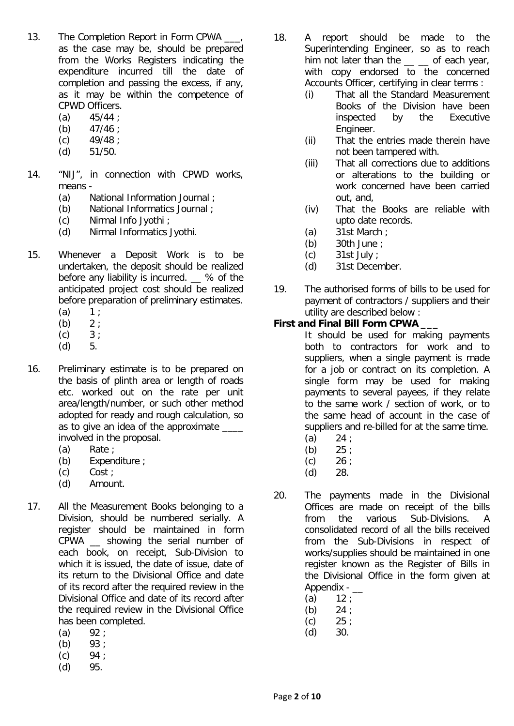- 13. The Completion Report in Form CPWA as the case may be, should be prepared from the Works Registers indicating the expenditure incurred till the date of completion and passing the excess, if any, as it may be within the competence of CPWD Officers.
	- (a)  $45/44$  ;<br>(b)  $47/46$  :
	- $47/46$  :
	- $(c)$  49/48 :
	- (d) 51/50.
- 14. "NIJ", in connection with CPWD works, means -
	- (a) National Information Journal ;<br>(b) National Informatics Journal ;
	- National Informatics Journal :
	- (c) Nirmal Info Jyothi ;
	- (d) Nirmal Informatics Jyothi.
- 15. Whenever a Deposit Work is to be undertaken, the deposit should be realized before any liability is incurred. \_\_ % of the anticipated project cost should be realized before preparation of preliminary estimates.
	- (a)  $1 ;$ <br>(b)  $2 ;$
	- $(b)$
	- $(c) 3;$
	- (d) 5.
- 16. Preliminary estimate is to be prepared on the basis of plinth area or length of roads etc. worked out on the rate per unit area/length/number, or such other method adopted for ready and rough calculation, so as to give an idea of the approximate \_\_\_\_ involved in the proposal.
	- (a) Rate ;
	- (b) Expenditure ;
	- (c) Cost ;
	- (d) Amount.
- 17. All the Measurement Books belonging to a Division, should be numbered serially. A register should be maintained in form CPWA \_\_ showing the serial number of each book, on receipt, Sub-Division to which it is issued, the date of issue, date of its return to the Divisional Office and date of its record after the required review in the Divisional Office and date of its record after the required review in the Divisional Office has been completed.
	- $(a)$  92 ;
	- (b) 93 ;
	- $(c)$  94 ;
	- (d) 95.
- 18. A report should be made to the Superintending Engineer, so as to reach him not later than the  $\_\_$  of each year, with copy endorsed to the concerned Accounts Officer, certifying in clear terms :
	- (i) That all the Standard Measurement Books of the Division have been inspected by the Executive Engineer.
	- (ii) That the entries made therein have not been tampered with.
	- (iii) That all corrections due to additions or alterations to the building or work concerned have been carried out, and,
	- (iv) That the Books are reliable with upto date records.
	- (a) 31st March ;
	- (b) 30th June ;
	- (c) 31st July ;
	- (d) 31st December.
- 19. The authorised forms of bills to be used for payment of contractors / suppliers and their utility are described below :

## **First and Final Bill Form CPWA \_\_\_**

- It should be used for making payments both to contractors for work and to suppliers, when a single payment is made for a job or contract on its completion. A single form may be used for making payments to several payees, if they relate to the same work / section of work, or to the same head of account in the case of suppliers and re-billed for at the same time.
- $(a)$  24 ;
- (b)  $25$ ;<br>(c)  $26$ :
- $26:$
- (d) 28.
- 20. The payments made in the Divisional Offices are made on receipt of the bills from the various Sub-Divisions. A consolidated record of all the bills received from the Sub-Divisions in respect of works/supplies should be maintained in one register known as the Register of Bills in the Divisional Office in the form given at Appendix - \_\_
	- (a)  $12$ ;
	-
	- (b)  $24$  ;<br>(c)  $25$  ;  $25:$
	- (d) 30.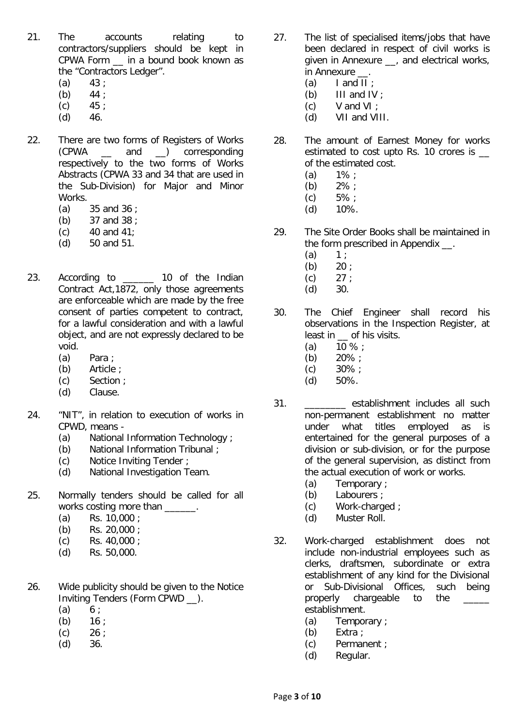- 21. The accounts relating to contractors/suppliers should be kept in CPWA Form \_\_ in a bound book known as the "Contractors Ledger".
	- $(a)$  43;
	- (b)  $44:$
	- $(c)$  45 ;
	- $(d)$  46.
- 22. There are two forms of Registers of Works (CPWA \_\_ and \_\_) corresponding respectively to the two forms of Works Abstracts (CPWA 33 and 34 that are used in the Sub-Division) for Major and Minor Works.
	- (a) 35 and 36 ;
	- (b) 37 and 38 ;
	- $(c)$  40 and 41;
	- (d) 50 and 51.
- 23. According to \_\_\_\_\_\_ 10 of the Indian Contract Act,1872, only those agreements are enforceable which are made by the free consent of parties competent to contract, for a lawful consideration and with a lawful object, and are not expressly declared to be void.
	- (a) Para ;
	- (b) Article ;
	- (c) Section ;
	- (d) Clause.
- 24. "NIT", in relation to execution of works in CPWD, means -
	- (a) National Information Technology ;<br>(b) National Information Tribunal ;
	- National Information Tribunal ;
	- (c) Notice Inviting Tender ;
	- (d) National Investigation Team.
- 25. Normally tenders should be called for all works costing more than  $\qquad \qquad$ .
	- (a) Rs. 10,000 ;
	- (b) Rs. 20,000 ;
	- (c) Rs. 40,000 ;
	- (d) Rs. 50,000.
- 26. Wide publicity should be given to the Notice Inviting Tenders (Form CPWD \_\_).
	- $(a) 6:$
	- $(b)$  16 :
	- $(c)$  26 ;
	- $(d)$  36.
- 27. The list of specialised items/jobs that have been declared in respect of civil works is given in Annexure \_\_, and electrical works, in Annexure
	- (a) I and II ;
	- (b) III and IV ;
	- $(c)$  V and VI :
	- (d) VII and VIII.
- 28. The amount of Earnest Money for works estimated to cost upto Rs. 10 crores is of the estimated cost.
	- $(a)$  1% ;
	- (b)  $2\%$  ;<br>(c)  $5\%$  ;
	- $5%$  ;
	- $(d)$  10%.
- 29. The Site Order Books shall be maintained in the form prescribed in Appendix .
	- $(a) 1;$
	-
	- (b)  $20$  ;<br>(c)  $27$  ;  $27:$
	- (d) 30.
- 30. The Chief Engineer shall record his observations in the Inspection Register, at least in \_\_ of his visits.
	- $(a)$  10 % :
	- (b)  $20\%$ ;<br>(c)  $30\%$ ;
	- $30\%$  ;
	- (d) 50%.
- 31. \_\_\_\_\_\_\_\_ establishment includes all such non-permanent establishment no matter<br>under what titles emploved as is what titles employed as is entertained for the general purposes of a division or sub-division, or for the purpose of the general supervision, as distinct from the actual execution of work or works.
	- (a) Temporary ;<br>(b) Labourers ;
	- (b) Labourers ;<br>(c) Work-charg
	- Work-charged ;
	- (d) Muster Roll.
- 32. Work-charged establishment does not include non-industrial employees such as clerks, draftsmen, subordinate or extra establishment of any kind for the Divisional or Sub-Divisional Offices, such being properly chargeable to the establishment.
	- (a) Temporary ;
	- (b) Extra ;
	- (c) Permanent ;
	- (d) Regular.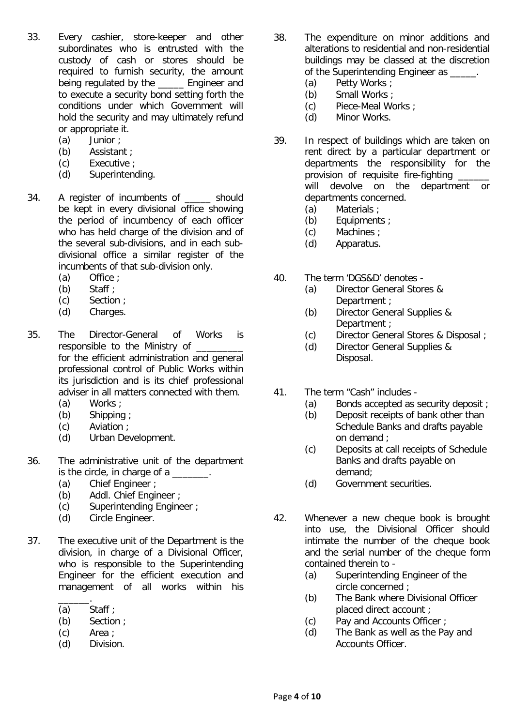- 33. Every cashier, store-keeper and other subordinates who is entrusted with the custody of cash or stores should be required to furnish security, the amount being regulated by the \_\_\_\_\_ Engineer and to execute a security bond setting forth the conditions under which Government will hold the security and may ultimately refund or appropriate it.
	- (a) Junior ;
	- (b) Assistant ;
	- (c) Executive ;
	- (d) Superintending.
- 34. A register of incumbents of \_\_\_\_\_ should be kept in every divisional office showing the period of incumbency of each officer who has held charge of the division and of the several sub-divisions, and in each subdivisional office a similar register of the incumbents of that sub-division only.
	- (a)  $Office$ ;<br>(b) Staff:
	- Staff  $\cdot$
	- (c) Section ;
	- (d) Charges.
- 35. The Director-General of Works is responsible to the Ministry of for the efficient administration and general professional control of Public Works within its jurisdiction and is its chief professional adviser in all matters connected with them.
	- (a) Works ;
	- (b) Shipping ;
	- (c) Aviation ;
	- (d) Urban Development.
- 36. The administrative unit of the department is the circle, in charge of a \_\_\_\_\_\_\_.
	-
	- (a) Chief Engineer ;<br>(b) Addl. Chief Engi Addl. Chief Engineer ;
	- (c) Superintending Engineer ;
	- (d) Circle Engineer.
- 37. The executive unit of the Department is the division, in charge of a Divisional Officer, who is responsible to the Superintending Engineer for the efficient execution and management of all works within his
	- \_\_\_\_\_\_. (a) Staff ;
	- (b) Section ;
	- (c) Area ;
	- (d) Division.
- 38. The expenditure on minor additions and alterations to residential and non-residential buildings may be classed at the discretion of the Superintending Engineer as  $\qquad \qquad$ .
	- (a) Petty Works ;
	- (b) Small Works ;
	- (c) Piece-Meal Works ;
	- (d) Minor Works.
- 39. In respect of buildings which are taken on rent direct by a particular department or departments the responsibility for the provision of requisite fire-fighting will devolve on the department or departments concerned.
	- (a) Materials ;
	- (b) Equipments ;
	- (c) Machines ;
	- (d) Apparatus.
- 40. The term 'DGS&D' denotes
	- (a) Director General Stores & Department :
	- (b) Director General Supplies & Department ;
	- (c) Director General Stores & Disposal ;
	- (d) Director General Supplies & Disposal.
- 41. The term "Cash" includes
	- (a) Bonds accepted as security deposit ;<br>(b) Deposit receipts of bank other than
		- Deposit receipts of bank other than Schedule Banks and drafts payable on demand ;
	- (c) Deposits at call receipts of Schedule Banks and drafts payable on demand;
	- (d) Government securities.
- 42. Whenever a new cheque book is brought into use, the Divisional Officer should intimate the number of the cheque book and the serial number of the cheque form contained therein to -
	- (a) Superintending Engineer of the circle concerned ;
	- (b) The Bank where Divisional Officer placed direct account ;
	- (c) Pay and Accounts Officer ;
	- (d) The Bank as well as the Pay and Accounts Officer.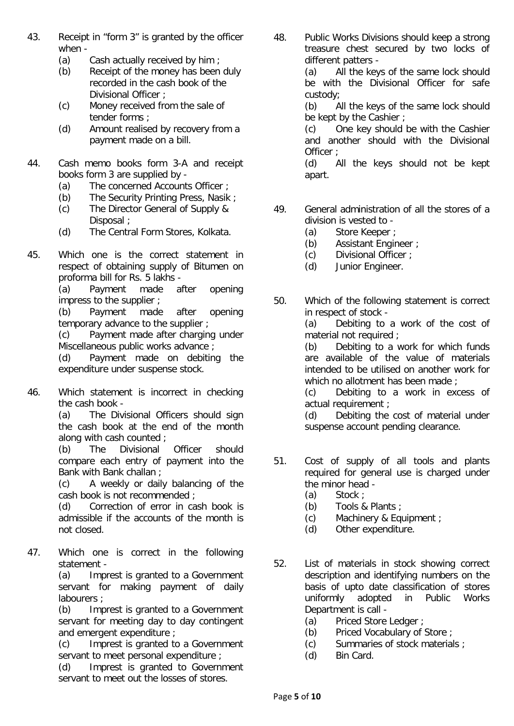- 43. Receipt in "form 3" is granted by the officer when -
	- (a) Cash actually received by him ;<br>(b) Receipt of the money has been
	- Receipt of the money has been duly recorded in the cash book of the Divisional Officer ;
	- (c) Money received from the sale of tender forms ;
	- (d) Amount realised by recovery from a payment made on a bill.
- 44. Cash memo books form 3-A and receipt books form 3 are supplied by -
	- (a) The concerned Accounts Officer ;
	-
	- (b) The Security Printing Press, Nasik ;<br>(c) The Director General of Supply & The Director General of Supply & Disposal ;
	- (d) The Central Form Stores, Kolkata.
- 45. Which one is the correct statement in respect of obtaining supply of Bitumen on proforma bill for Rs. 5 lakhs -<br>(a) Payment made a

Payment made after opening impress to the supplier ;

(b) Payment made after opening temporary advance to the supplier ;

(c) Payment made after charging under Miscellaneous public works advance ;

(d) Payment made on debiting the expenditure under suspense stock.

46. Which statement is incorrect in checking the cash book -

(a) The Divisional Officers should sign the cash book at the end of the month along with cash counted ;<br>(b) The Divisional

(b) The Divisional Officer should compare each entry of payment into the Bank with Bank challan ;

(c) A weekly or daily balancing of the cash book is not recommended ;

(d) Correction of error in cash book is admissible if the accounts of the month is not closed.

47. Which one is correct in the following statement -

(a) Imprest is granted to a Government servant for making payment of daily labourers ;

(b) Imprest is granted to a Government servant for meeting day to day contingent and emergent expenditure ;

(c) Imprest is granted to a Government servant to meet personal expenditure :

(d) Imprest is granted to Government servant to meet out the losses of stores.

48. Public Works Divisions should keep a strong treasure chest secured by two locks of different patters -

(a) All the keys of the same lock should be with the Divisional Officer for safe custody;

(b) All the keys of the same lock should be kept by the Cashier ;

(c) One key should be with the Cashier and another should with the Divisional Officer ;

(d) All the keys should not be kept apart.

- 49. General administration of all the stores of a division is vested to -
	- (a) Store Keeper ;<br>(b) Assistant Engir
	- Assistant Engineer ;
	- (c) Divisional Officer ;
	- (d) Junior Engineer.
- 50. Which of the following statement is correct in respect of stock -

(a) Debiting to a work of the cost of material not required ;

(b) Debiting to a work for which funds are available of the value of materials intended to be utilised on another work for which no allotment has been made ;

(c) Debiting to a work in excess of actual requirement ;

(d) Debiting the cost of material under suspense account pending clearance.

- 51. Cost of supply of all tools and plants required for general use is charged under the minor head  $-$ <br>(a) Stock ;
	- (a) Stock ;<br>(b) Tools &
	- Tools & Plants :
	- (c) Machinery & Equipment ;
	- (d) Other expenditure.
- 52. List of materials in stock showing correct description and identifying numbers on the basis of upto date classification of stores<br>uniformly adopted in Public Works uniformly adopted Department is call -
	- (a) Priced Store Ledger ;
	- (b) Priced Vocabulary of Store ;
	- (c) Summaries of stock materials ;
	- (d) Bin Card.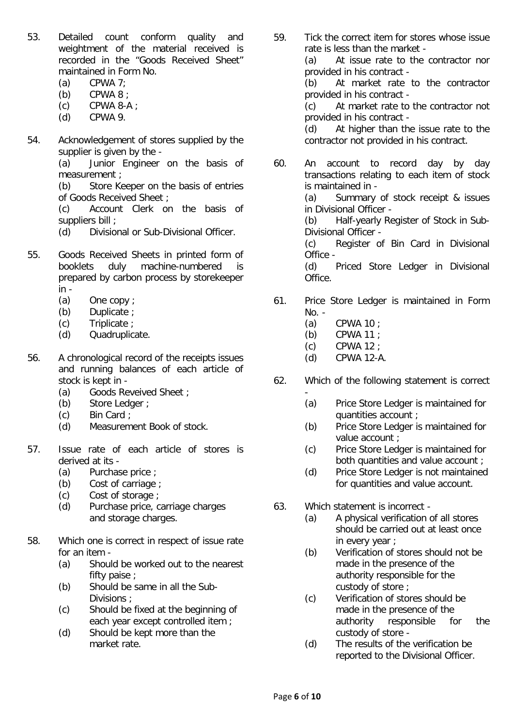- 53. Detailed count conform quality and weightment of the material received is recorded in the "Goods Received Sheet" maintained in Form No.
	- (a) CPWA  $7$ ;
	- (b) CPWA 8 ;
	- $(c)$  CPWA 8-A ;
	- (d) CPWA 9.
- 54. Acknowledgement of stores supplied by the supplier is given by the -

(a) Junior Engineer on the basis of measurement ;

(b) Store Keeper on the basis of entries of Goods Received Sheet ;

(c) Account Clerk on the basis of suppliers bill ;

- (d) Divisional or Sub-Divisional Officer.
- 55. Goods Received Sheets in printed form of booklets duly machine-numbered is prepared by carbon process by storekeeper in -
	- (a) One copy ;
	- (b) Duplicate ;
	- (c) Triplicate ;
	- (d) Quadruplicate.
- 56. A chronological record of the receipts issues and running balances of each article of stock is kept in -
	- (a) Goods Reveived Sheet ;
	- (b) Store Ledger ;
	- (c) Bin Card;<br>(d) Measurem
	- Measurement Book of stock.
- 57. Issue rate of each article of stores is derived at its -
	- (a) Purchase price ;
	- (b) Cost of carriage ;
	- (c) Cost of storage ;
	- (d) Purchase price, carriage charges and storage charges.
- 58. Which one is correct in respect of issue rate for an item -
	- (a) Should be worked out to the nearest fifty paise ;
	- (b) Should be same in all the Sub-Divisions ;
	- (c) Should be fixed at the beginning of each year except controlled item ;
	- (d) Should be kept more than the market rate.

59. Tick the correct item for stores whose issue rate is less than the market - (a) At issue rate to the contractor nor

provided in his contract -

(b) At market rate to the contractor provided in his contract -

(c) At market rate to the contractor not provided in his contract -

(d) At higher than the issue rate to the contractor not provided in his contract.

60. An account to record day by day transactions relating to each item of stock is maintained in -

(a) Summary of stock receipt & issues in Divisional Officer -

(b) Half-yearly Register of Stock in Sub-Divisional Officer -

(c) Register of Bin Card in Divisional Office -

(d) Priced Store Ledger in Divisional Office.

- 61. Price Store Ledger is maintained in Form No. -
	- (a) CPWA 10 ;
	- (b) CPWA 11 ;
	- (c) CPWA 12 ;
	- (d) CPWA 12-A.
- 62. Which of the following statement is correct
	- (a) Price Store Ledger is maintained for quantities account ;
	- (b) Price Store Ledger is maintained for value account ;
	- (c) Price Store Ledger is maintained for both quantities and value account ;
	- (d) Price Store Ledger is not maintained for quantities and value account.
- 63. Which statement is incorrect
	- (a) A physical verification of all stores should be carried out at least once in every year ;
	- (b) Verification of stores should not be made in the presence of the authority responsible for the custody of store ;
	- (c) Verification of stores should be made in the presence of the authority responsible for the custody of store -
	- (d) The results of the verification be reported to the Divisional Officer.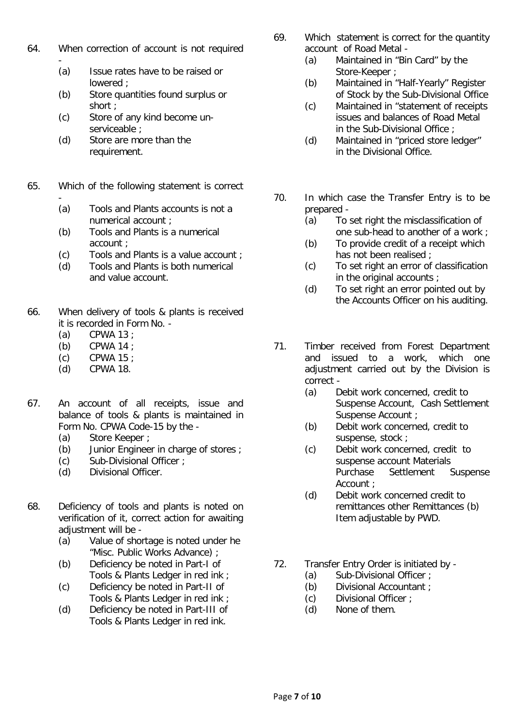- 64. When correction of account is not required
	- (a) Issue rates have to be raised or lowered ;
	- (b) Store quantities found surplus or short ;
	- (c) Store of any kind become unserviceable :
	- (d) Store are more than the requirement.
- 65. Which of the following statement is correct
	- (a) Tools and Plants accounts is not a numerical account ;
	- (b) Tools and Plants is a numerical account ;
	- (c) Tools and Plants is a value account ;
	- (d) Tools and Plants is both numerical and value account.
- 66. When delivery of tools & plants is received it is recorded in Form No. -
	- (a) CPWA 13 ;
	- (b) CPWA 14 ;
	- (c)  $CPWA 15$  ;<br>(d)  $CPWA 18$ .
	- CPWA 18.
- 67. An account of all receipts, issue and balance of tools & plants is maintained in Form No. CPWA Code-15 by the -
	- (a) Store Keeper ;<br>(b) Junior Enginee
	- Junior Engineer in charge of stores ;
	- (c) Sub-Divisional Officer ;
	- (d) Divisional Officer.
- 68. Deficiency of tools and plants is noted on verification of it, correct action for awaiting adiustment will be -
	- (a) Value of shortage is noted under he "Misc. Public Works Advance) ;
	- (b) Deficiency be noted in Part-I of Tools & Plants Ledger in red ink ;
	- (c) Deficiency be noted in Part-II of Tools & Plants Ledger in red ink ;
	- (d) Deficiency be noted in Part-III of Tools & Plants Ledger in red ink.
- 69. Which statement is correct for the quantity account of Road Metal -
	- (a) Maintained in "Bin Card" by the Store-Keeper ;
	- (b) Maintained in "Half-Yearly" Register of Stock by the Sub-Divisional Office
	- (c) Maintained in "statement of receipts issues and balances of Road Metal in the Sub-Divisional Office ;
	- (d) Maintained in "priced store ledger" in the Divisional Office.
- 70. In which case the Transfer Entry is to be prepared -
	- (a) To set right the misclassification of one sub-head to another of a work ;
	- (b) To provide credit of a receipt which has not been realised ;
	- (c) To set right an error of classification in the original accounts ;
	- (d) To set right an error pointed out by the Accounts Officer on his auditing.
- 71. Timber received from Forest Department and issued to a work, which one adjustment carried out by the Division is correct -
	- (a) Debit work concerned, credit to Suspense Account, Cash Settlement Suspense Account ;
	- (b) Debit work concerned, credit to suspense, stock ;
	- (c) Debit work concerned, credit to suspense account Materials Purchase Settlement Suspense Account ;
	- (d) Debit work concerned credit to remittances other Remittances (b) Item adjustable by PWD.
- 72. Transfer Entry Order is initiated by
	- (a) Sub-Divisional Officer ;
	- (b) Divisional Accountant ;
	- (c) Divisional Officer ;
	- (d) None of them.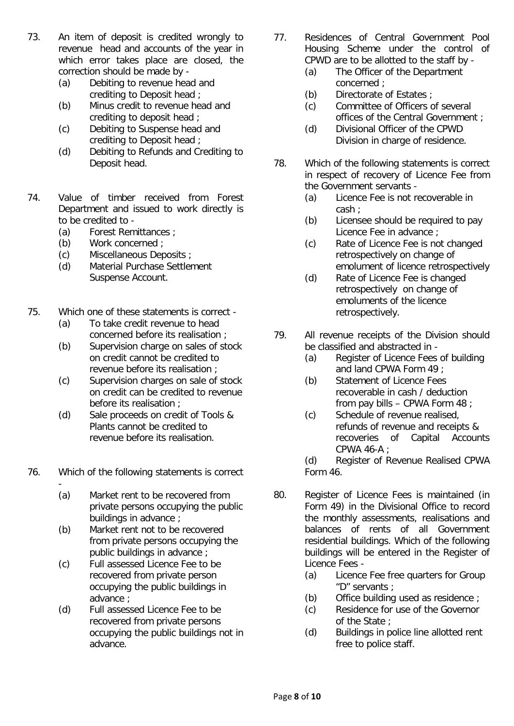- 73. An item of deposit is credited wrongly to revenue head and accounts of the year in which error takes place are closed, the correction should be made by -
	- (a) Debiting to revenue head and crediting to Deposit head ;
	- (b) Minus credit to revenue head and crediting to deposit head ;
	- (c) Debiting to Suspense head and crediting to Deposit head ;
	- (d) Debiting to Refunds and Crediting to Deposit head.
- 74. Value of timber received from Forest Department and issued to work directly is to be credited to -
	- (a) Forest Remittances ;<br>(b) Work concerned ;
	- Work concerned :
	- (c) Miscellaneous Deposits ;
	- (d) Material Purchase Settlement Suspense Account.
- 75. Which one of these statements is correct
	- (a) To take credit revenue to head concerned before its realisation ;
	- (b) Supervision charge on sales of stock on credit cannot be credited to revenue before its realisation ;
	- (c) Supervision charges on sale of stock on credit can be credited to revenue before its realisation ;
	- (d) Sale proceeds on credit of Tools & Plants cannot be credited to revenue before its realisation.

76. Which of the following statements is correct

- (a) Market rent to be recovered from private persons occupying the public buildings in advance ;
- (b) Market rent not to be recovered from private persons occupying the public buildings in advance ;
- (c) Full assessed Licence Fee to be recovered from private person occupying the public buildings in advance ;
- (d) Full assessed Licence Fee to be recovered from private persons occupying the public buildings not in advance.
- 77. Residences of Central Government Pool Housing Scheme under the control of CPWD are to be allotted to the staff by -
	- (a) The Officer of the Department concerned ;
	- (b) Directorate of Estates ;
	- (c) Committee of Officers of several offices of the Central Government ;
	- (d) Divisional Officer of the CPWD Division in charge of residence.
- 78. Which of the following statements is correct in respect of recovery of Licence Fee from the Government servants -
	- (a) Licence Fee is not recoverable in cash ;
	- (b) Licensee should be required to pay Licence Fee in advance ;
	- (c) Rate of Licence Fee is not changed retrospectively on change of emolument of licence retrospectively
	- (d) Rate of Licence Fee is changed retrospectively on change of emoluments of the licence retrospectively.
- 79. All revenue receipts of the Division should be classified and abstracted in -
	- (a) Register of Licence Fees of building and land CPWA Form 49 ;
	- (b) Statement of Licence Fees recoverable in cash / deduction from pay bills – CPWA Form 48 ;
	- (c) Schedule of revenue realised, refunds of revenue and receipts &<br>recoveries of Capital Accour recoveries of Capital Accounts CPWA 46-A ;

(d) Register of Revenue Realised CPWA Form 46.

- 80. Register of Licence Fees is maintained (in Form 49) in the Divisional Office to record the monthly assessments, realisations and balances of rents of all Government residential buildings. Which of the following buildings will be entered in the Register of Licence Fees -
	- (a) Licence Fee free quarters for Group "D" servants ;
	- (b) Office building used as residence ;
	- (c) Residence for use of the Governor of the State ;
	- (d) Buildings in police line allotted rent free to police staff.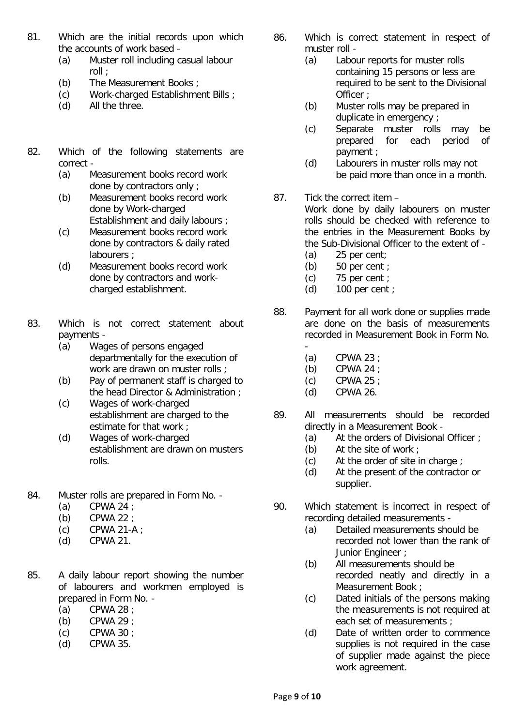- 81. Which are the initial records upon which the accounts of work based -
	- (a) Muster roll including casual labour roll ;
	- (b) The Measurement Books ;
	- (c) Work-charged Establishment Bills ;
	- (d) All the three.
- 82. Which of the following statements are correct -
	- (a) Measurement books record work done by contractors only ;
	- (b) Measurement books record work done by Work-charged Establishment and daily labours ;
	- (c) Measurement books record work done by contractors & daily rated labourers ;
	- (d) Measurement books record work done by contractors and workcharged establishment.
- 83. Which is not correct statement about payments -
	- (a) Wages of persons engaged departmentally for the execution of work are drawn on muster rolls :
	- (b) Pay of permanent staff is charged to the head Director & Administration ;
	- (c) Wages of work-charged establishment are charged to the estimate for that work ;
	- (d) Wages of work-charged establishment are drawn on musters rolls.
- 84. Muster rolls are prepared in Form No.
	- (a) CPWA 24 ;
	-
	- (b)  $CPWA 22$ ;<br>(c)  $CPWA 21-A$ CPWA 21-A :
	- (d) CPWA 21.
- 85. A daily labour report showing the number of labourers and workmen employed is prepared in Form No. -
	- (a) CPWA 28 ;
	- (b) CPWA 29 ;
	- (c) CPWA 30 ;
	- (d) CPWA 35.
- 86. Which is correct statement in respect of muster roll -
	- (a) Labour reports for muster rolls containing 15 persons or less are required to be sent to the Divisional Officer ;
	- (b) Muster rolls may be prepared in duplicate in emergency ;
	- (c) Separate muster rolls may be prepared for each period of payment ;
	- (d) Labourers in muster rolls may not be paid more than once in a month.
- 87. Tick the correct item Work done by daily labourers on muster rolls should be checked with reference to the entries in the Measurement Books by the Sub-Divisional Officer to the extent of -
	- (a) 25 per cent;
	- (b)  $50 \text{ per cent }$ ;<br>(c)  $75 \text{ per cent }$ ;
	- (c)  $75$  per cent ;<br>(d)  $100$  per cent
	- $100$  per cent :
- 88. Payment for all work done or supplies made are done on the basis of measurements recorded in Measurement Book in Form No.
	- (a) CPWA 23 ;
	- (b) CPWA 24 ;
	- (c) CPWA 25 ;
	- (d) CPWA 26.
- 89. All measurements should be recorded directly in a Measurement Book -
	- (a) At the orders of Divisional Officer ;<br>(b) At the site of work ;
	- At the site of work  $\pm$
	- (c) At the order of site in charge ;
	- (d) At the present of the contractor or supplier.
- 90. Which statement is incorrect in respect of recording detailed measurements -
	- (a) Detailed measurements should be recorded not lower than the rank of Junior Engineer :
	- (b) All measurements should be recorded neatly and directly in a Measurement Book ;
	- (c) Dated initials of the persons making the measurements is not required at each set of measurements :
	- (d) Date of written order to commence supplies is not required in the case of supplier made against the piece work agreement.